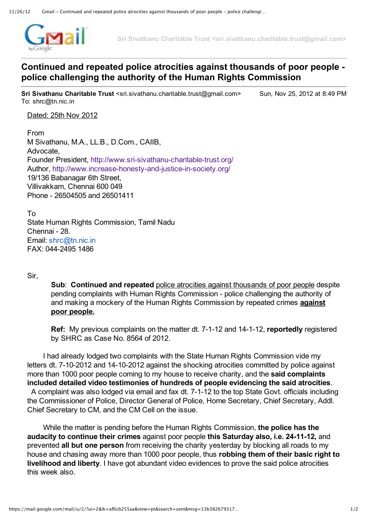

**Sri Sivathanu Charitable Trust <sri.sivathanu.charitable.trust@gmail.com>**

## **Continued and repeated police atrocities against thousands of poor people police challenging the authority of the Human Rights Commission**

**Sri Sivathanu Charitable Trust** <sri.sivathanu.charitable.trust@gmail.com> Sun, Nov 25, 2012 at 8:49 PM To: shrc@tn.nic.in

## Dated: 25th Nov 2012

From M Sivathanu, M.A., LL.B., D.Com., CAIIB, Advocate, Founder President, http://www.sri-sivathanu-charitable-trust.org/ Author, http://www.increase-honesty-and-justice-in-society.org/ 19/136 Babanagar 6th Street, Villivakkam, Chennai 600 049 Phone 26504505 and 26501411

To State Human Rights Commission, Tamil Nadu Chennai - 28. Email: [shrc@tn.nic.in](mailto:shrc@tn.nic.in) FAX: 044-2495 1486

Sir,

**Sub**: **Continued and repeated** police atrocities against thousands of poor people despite pending complaints with Human Rights Commission - police challenging the authority of and making a mockery of the Human Rights Commission by repeated crimes **against poor people.**

**Ref:** My previous complaints on the matter dt. 7-1-12 and 14-1-12, **reportedly** registered by SHRC as Case No. 8564 of 2012.

I had already lodged two complaints with the State Human Rights Commission vide my letters dt. 7-10-2012 and 14-10-2012 against the shocking atrocities committed by police against more than 1000 poor people coming to my house to receive charity, and the **said complaints included detailed video testimonies of hundreds of people evidencing the said atrocities**. A complaint was also lodged via email and fax dt. 7-1-12 to the top State Govt. officials including the Commissioner of Police, Director General of Police, Home Secretary, Chief Secretary, Addl. Chief Secretary to CM, and the CM Cell on the issue.

While the matter is pending before the Human Rights Commission, **the police has the audacity to continue their crimes** against poor people **this Saturday also, i.e. 241112,** and prevented **all but one person** from receiving the charity yesterday by blocking all roads to my house and chasing away more than 1000 poor people, thus **robbing them of their basic right to livelihood and liberty**. I have got abundant video evidences to prove the said police atrocities this week also.